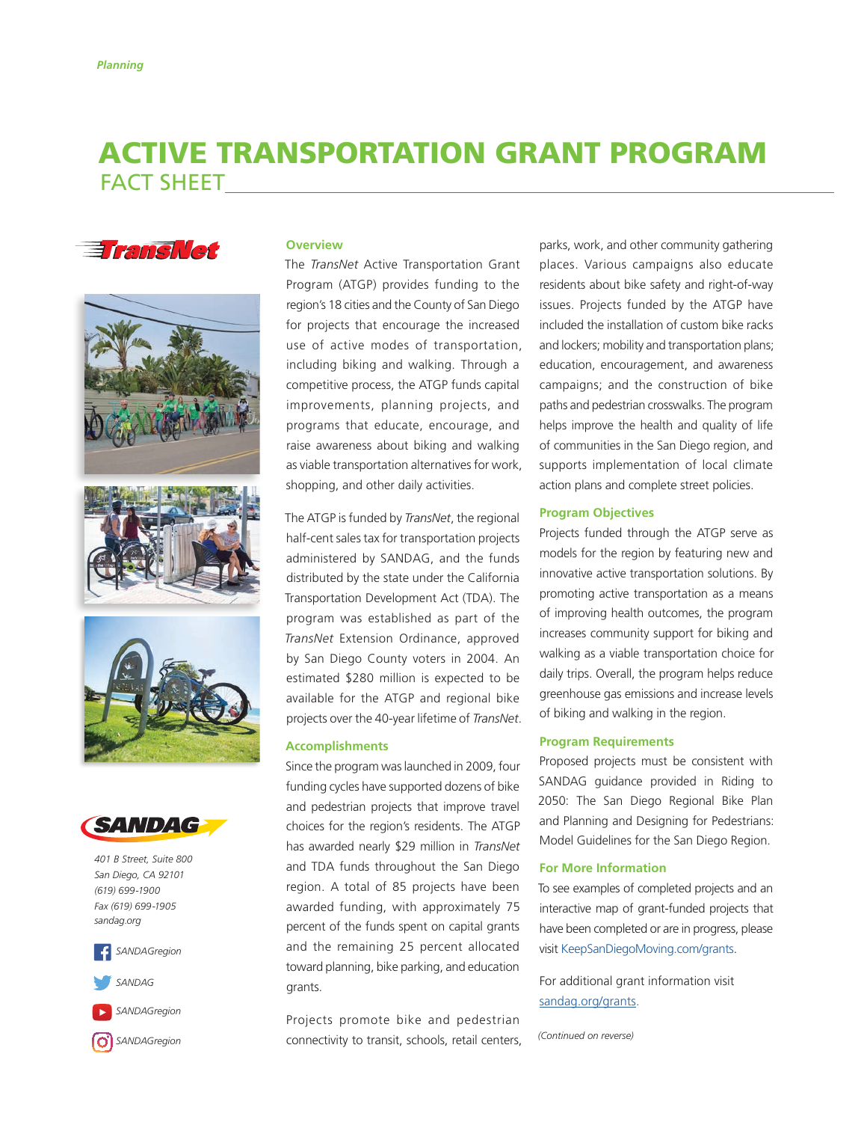# ACTIVE TRANSPORTATION GRANT PROGRAM FACT SHEET











*401 B Street, Suite 800 San Diego, CA 92101 (619) 699-1900 Fax (619) 699-1905 [sandag.org](http://sandag.org)*







*[SANDAGregion](https://www.instagram.com/sandagregion/)*

#### **Overview**

The *TransNet* Active Transportation Grant Program (ATGP) provides funding to the region's 18 cities and the County of San Diego for projects that encourage the increased use of active modes of transportation, including biking and walking. Through a competitive process, the ATGP funds capital improvements, planning projects, and programs that educate, encourage, and raise awareness about biking and walking as viable transportation alternatives for work, shopping, and other daily activities.

The ATGP is funded by *TransNet*, the regional half-cent sales tax for transportation projects administered by SANDAG, and the funds distributed by the state under the California Transportation Development Act (TDA). The program was established as part of the *TransNet* Extension Ordinance, approved by San Diego County voters in 2004. An estimated \$280 million is expected to be available for the ATGP and regional bike projects over the 40-year lifetime of *TransNet*.

### **Accomplishments**

Since the program was launched in 2009, four funding cycles have supported dozens of bike and pedestrian projects that improve travel choices for the region's residents. The ATGP has awarded nearly \$29 million in *TransNet* and TDA funds throughout the San Diego region. A total of 85 projects have been awarded funding, with approximately 75 percent of the funds spent on capital grants and the remaining 25 percent allocated toward planning, bike parking, and education grants.

Projects promote bike and pedestrian connectivity to transit, schools, retail centers,

parks, work, and other community gathering places. Various campaigns also educate residents about bike safety and right-of-way issues. Projects funded by the ATGP have included the installation of custom bike racks and lockers; mobility and transportation plans; education, encouragement, and awareness campaigns; and the construction of bike paths and pedestrian crosswalks. The program helps improve the health and quality of life of communities in the San Diego region, and supports implementation of local climate action plans and complete street policies.

### **Program Objectives**

Projects funded through the ATGP serve as models for the region by featuring new and innovative active transportation solutions. By promoting active transportation as a means of improving health outcomes, the program increases community support for biking and walking as a viable transportation choice for daily trips. Overall, the program helps reduce greenhouse gas emissions and increase levels of biking and walking in the region.

#### **Program Requirements**

Proposed projects must be consistent with SANDAG guidance provided in Riding to 2050: The San Diego Regional Bike Plan and Planning and Designing for Pedestrians: Model Guidelines for the San Diego Region.

#### **For More Information**

To see examples of completed projects and an interactive map of grant-funded projects that have been completed or are in progress, please visit [KeepSanDiegoMoving.com/grants](http://www.keepsandiegomoving.com/SmartGrowth/smartgrowth-intro.aspx).

For additional grant information visit [sandag.org/grants](https://www.sandag.org/index.asp?classid=12&projectid=491&fuseaction=projects.detail).

*(Continued on reverse)*